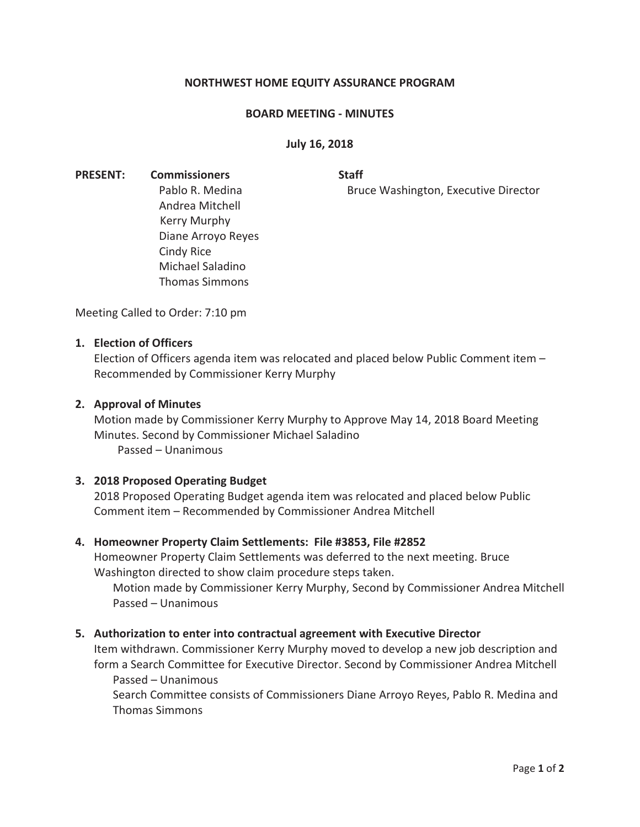# **NORTHWEST HOME EQUITY ASSURANCE PROGRAM**

#### **BOARD MEETING - MINUTES**

## **July 16, 2018**

**PRESENT:** Commissioners Staff Andrea Mitchell Kerry Murphy Diane Arroyo Reyes Cindy Rice Michael Saladino Thomas Simmons

Pablo R. Medina **Bruce Washington, Executive Director** 

Meeting Called to Order: 7:10 pm

## **1. Election of Officers**

Election of Officers agenda item was relocated and placed below Public Comment item – Recommended by Commissioner Kerry Murphy

#### **2. Approval of Minutes**

Motion made by Commissioner Kerry Murphy to Approve May 14, 2018 Board Meeting Minutes. Second by Commissioner Michael Saladino Passed – Unanimous

## **3. 2018 Proposed Operating Budget**

2018 Proposed Operating Budget agenda item was relocated and placed below Public Comment item – Recommended by Commissioner Andrea Mitchell

#### **4. Homeowner Property Claim Settlements: File #3853, File #2852**

Homeowner Property Claim Settlements was deferred to the next meeting. Bruce Washington directed to show claim procedure steps taken.

Motion made by Commissioner Kerry Murphy, Second by Commissioner Andrea Mitchell Passed – Unanimous

#### **5. Authorization to enter into contractual agreement with Executive Director**

Item withdrawn. Commissioner Kerry Murphy moved to develop a new job description and form a Search Committee for Executive Director. Second by Commissioner Andrea Mitchell Passed – Unanimous

Search Committee consists of Commissioners Diane Arroyo Reyes, Pablo R. Medina and Thomas Simmons